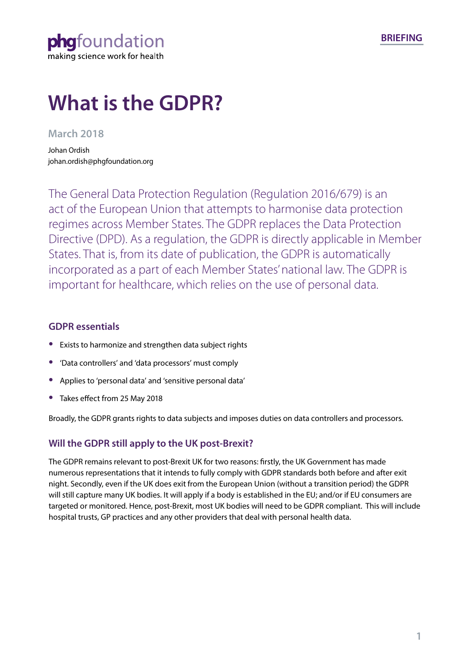phafoundation making science work for health

# **What is the GDPR?**

## **March 2018**

Johan Ordish johan.ordish@phgfoundation.org

The General Data Protection Regulation (Regulation 2016/679) is an act of the European Union that attempts to harmonise data protection regimes across Member States. The GDPR replaces the Data Protection Directive (DPD). As a regulation, the GDPR is directly applicable in Member States. That is, from its date of publication, the GDPR is automatically incorporated as a part of each Member States' national law. The GDPR is important for healthcare, which relies on the use of personal data.

## **GDPR essentials**

- **•** Exists to harmonize and strengthen data subject rights
- **•** 'Data controllers' and 'data processors' must comply
- **•** Applies to 'personal data' and 'sensitive personal data'
- **•** Takes effect from 25 May 2018

Broadly, the GDPR grants rights to data subjects and imposes duties on data controllers and processors.

## **Will the GDPR still apply to the UK post-Brexit?**

The GDPR remains relevant to post-Brexit UK for two reasons: firstly, the UK Government has made numerous representations that it intends to fully comply with GDPR standards both before and after exit night. Secondly, even if the UK does exit from the European Union (without a transition period) the GDPR will still capture many UK bodies. It will apply if a body is established in the EU; and/or if EU consumers are targeted or monitored. Hence, post-Brexit, most UK bodies will need to be GDPR compliant. This will include hospital trusts, GP practices and any other providers that deal with personal health data.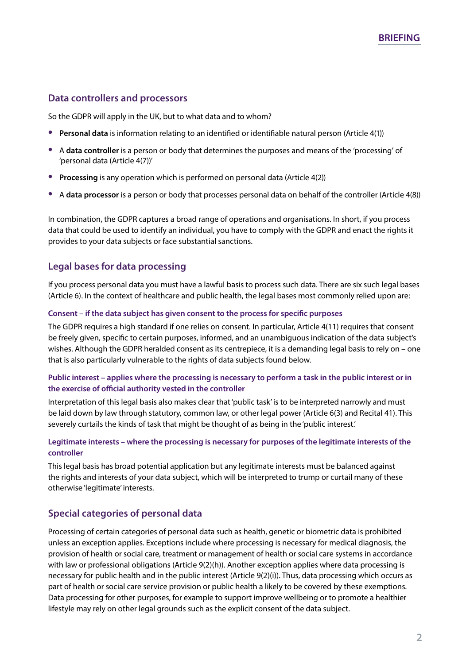## **Data controllers and processors**

So the GDPR will apply in the UK, but to what data and to whom?

- **• Personal data** is information relating to an identified or identifiable natural person (Article 4(1))
- **•** <sup>A</sup>**data controller** is a person or body that determines the purposes and means of the 'processing' of 'personal data (Article 4(7))'
- **• Processing** is any operation which is performed on personal data (Article 4(2))
- **•** <sup>A</sup>**data processor** is a person or body that processes personal data on behalf of the controller (Article 4(8))

In combination, the GDPR captures a broad range of operations and organisations. In short, if you process data that could be used to identify an individual, you have to comply with the GDPR and enact the rights it provides to your data subjects or face substantial sanctions.

## **Legal bases for data processing**

If you process personal data you must have a lawful basis to process such data. There are six such legal bases (Article 6). In the context of healthcare and public health, the legal bases most commonly relied upon are:

#### **Consent – if the data subject has given consent to the process for specific purposes**

The GDPR requires a high standard if one relies on consent. In particular, Article 4(11) requires that consent be freely given, specific to certain purposes, informed, and an unambiguous indication of the data subject's wishes. Although the GDPR heralded consent as its centrepiece, it is a demanding legal basis to rely on – one that is also particularly vulnerable to the rights of data subjects found below.

### **Public interest – applies where the processing is necessary to perform a task in the public interest or in the exercise of official authority vested in the controller**

Interpretation of this legal basis also makes clear that 'public task' is to be interpreted narrowly and must be laid down by law through statutory, common law, or other legal power (Article 6(3) and Recital 41). This severely curtails the kinds of task that might be thought of as being in the 'public interest.'

### **Legitimate interests – where the processing is necessary for purposes of the legitimate interests of the controller**

This legal basis has broad potential application but any legitimate interests must be balanced against the rights and interests of your data subject, which will be interpreted to trump or curtail many of these otherwise 'legitimate' interests.

## **Special categories of personal data**

Processing of certain categories of personal data such as health, genetic or biometric data is prohibited unless an exception applies. Exceptions include where processing is necessary for medical diagnosis, the provision of health or social care, treatment or management of health or social care systems in accordance with law or professional obligations (Article 9(2)(h)). Another exception applies where data processing is necessary for public health and in the public interest (Article 9(2)(i)). Thus, data processing which occurs as part of health or social care service provision or public health a likely to be covered by these exemptions. Data processing for other purposes, for example to support improve wellbeing or to promote a healthier lifestyle may rely on other legal grounds such as the explicit consent of the data subject.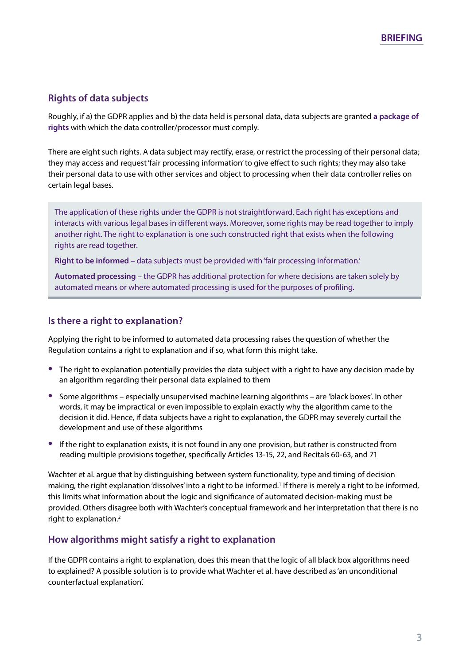## **Rights of data subjects**

Roughly, if a) the GDPR applies and b) the data held is personal data, data subjects are granted **[a package of](https://ico.org.uk/for-organisations/guide-to-the-general-data-protection-regulation-gdpr/individual-rights/)  [rights](https://ico.org.uk/for-organisations/guide-to-the-general-data-protection-regulation-gdpr/individual-rights/)** with which the data controller/processor must comply.

There are eight such rights. A data subject may rectify, erase, or restrict the processing of their personal data; they may access and request 'fair processing information' to give effect to such rights; they may also take their personal data to use with other services and object to processing when their data controller relies on certain legal bases.

The application of these rights under the GDPR is not straightforward. Each right has exceptions and interacts with various legal bases in different ways. Moreover, some rights may be read together to imply another right. The right to explanation is one such constructed right that exists when the following rights are read together.

**Right to be informed** – data subjects must be provided with 'fair processing information.'

**Automated processing** – the GDPR has additional protection for where decisions are taken solely by automated means or where automated processing is used for the purposes of profiling.

## **Is there a right to explanation?**

Applying the right to be informed to automated data processing raises the question of whether the Regulation contains a right to explanation and if so, what form this might take.

- **•** The right to explanation potentially provides the data subject with a right to have any decision made by an algorithm regarding their personal data explained to them
- **•** Some algorithms especially unsupervised machine learning algorithms are 'black boxes'. In other words, it may be impractical or even impossible to explain exactly why the algorithm came to the decision it did. Hence, if data subjects have a right to explanation, the GDPR may severely curtail the development and use of these algorithms
- **•** If the right to explanation exists, it is not found in any one provision, but rather is constructed from reading multiple provisions together, specifically Articles 13-15, 22, and Recitals 60-63, and 71

Wachter et al. argue that by distinguishing between system functionality, type and timing of decision making, the right explanation 'dissolves' into a right to be informed.<sup>1</sup> If there is merely a right to be informed, this limits what information about the logic and significance of automated decision-making must be provided. Others disagree both with Wachter's conceptual framework and her interpretation that there is no right to explanation.<sup>[2](#page-3-1)</sup>

## **How algorithms might satisfy a right to explanation**

If the GDPR contains a right to explanation, does this mean that the logic of all black box algorithms need to explained? A possible solution is to provide what Wachter et al. have described as 'an unconditional counterfactual explanation'.